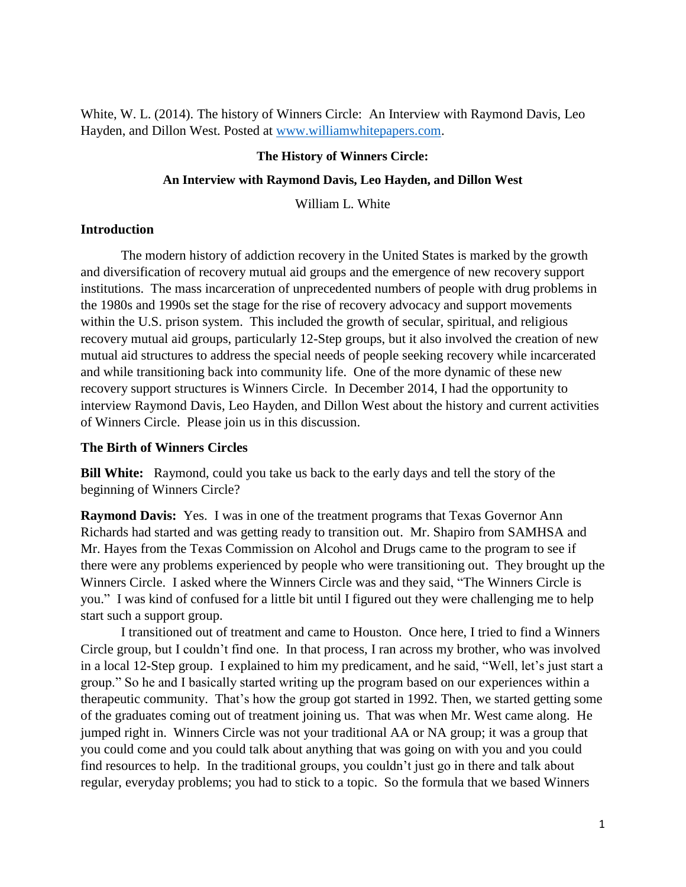White, W. L. (2014). The history of Winners Circle: An Interview with Raymond Davis, Leo Hayden, and Dillon West. Posted at [www.williamwhitepapers.com.](http://www.williamwhitepapers.com/)

#### **The History of Winners Circle:**

#### **An Interview with Raymond Davis, Leo Hayden, and Dillon West**

William L. White

#### **Introduction**

The modern history of addiction recovery in the United States is marked by the growth and diversification of recovery mutual aid groups and the emergence of new recovery support institutions. The mass incarceration of unprecedented numbers of people with drug problems in the 1980s and 1990s set the stage for the rise of recovery advocacy and support movements within the U.S. prison system. This included the growth of secular, spiritual, and religious recovery mutual aid groups, particularly 12-Step groups, but it also involved the creation of new mutual aid structures to address the special needs of people seeking recovery while incarcerated and while transitioning back into community life. One of the more dynamic of these new recovery support structures is Winners Circle. In December 2014, I had the opportunity to interview Raymond Davis, Leo Hayden, and Dillon West about the history and current activities of Winners Circle. Please join us in this discussion.

#### **The Birth of Winners Circles**

**Bill White:** Raymond, could you take us back to the early days and tell the story of the beginning of Winners Circle?

**Raymond Davis:** Yes. I was in one of the treatment programs that Texas Governor Ann Richards had started and was getting ready to transition out. Mr. Shapiro from SAMHSA and Mr. Hayes from the Texas Commission on Alcohol and Drugs came to the program to see if there were any problems experienced by people who were transitioning out. They brought up the Winners Circle. I asked where the Winners Circle was and they said, "The Winners Circle is you." I was kind of confused for a little bit until I figured out they were challenging me to help start such a support group.

I transitioned out of treatment and came to Houston. Once here, I tried to find a Winners Circle group, but I couldn't find one. In that process, I ran across my brother, who was involved in a local 12-Step group. I explained to him my predicament, and he said, "Well, let's just start a group." So he and I basically started writing up the program based on our experiences within a therapeutic community. That's how the group got started in 1992. Then, we started getting some of the graduates coming out of treatment joining us. That was when Mr. West came along. He jumped right in. Winners Circle was not your traditional AA or NA group; it was a group that you could come and you could talk about anything that was going on with you and you could find resources to help. In the traditional groups, you couldn't just go in there and talk about regular, everyday problems; you had to stick to a topic. So the formula that we based Winners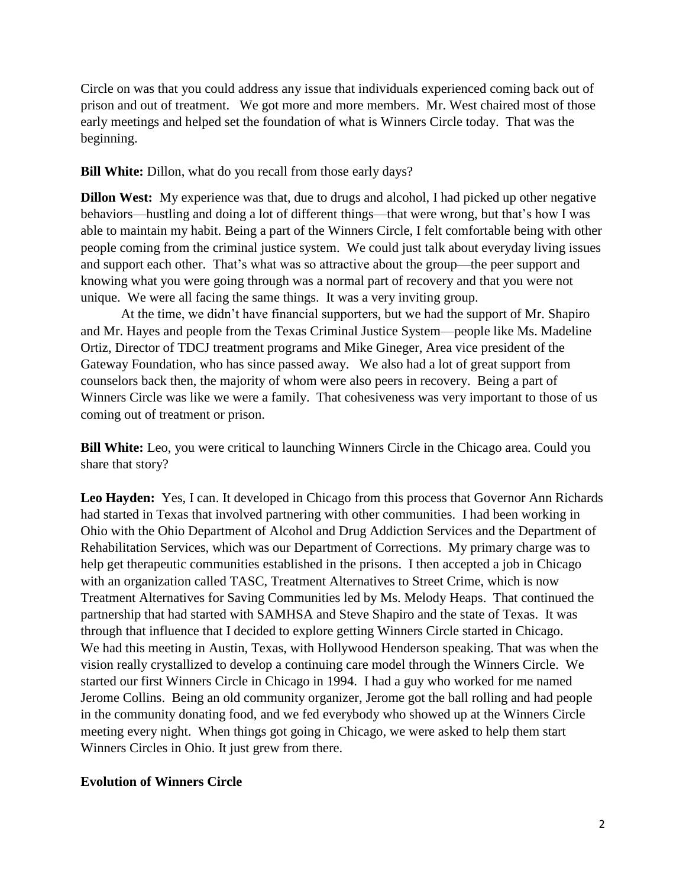Circle on was that you could address any issue that individuals experienced coming back out of prison and out of treatment. We got more and more members. Mr. West chaired most of those early meetings and helped set the foundation of what is Winners Circle today. That was the beginning.

### **Bill White:** Dillon, what do you recall from those early days?

**Dillon West:** My experience was that, due to drugs and alcohol, I had picked up other negative behaviors—hustling and doing a lot of different things—that were wrong, but that's how I was able to maintain my habit. Being a part of the Winners Circle, I felt comfortable being with other people coming from the criminal justice system. We could just talk about everyday living issues and support each other. That's what was so attractive about the group—the peer support and knowing what you were going through was a normal part of recovery and that you were not unique. We were all facing the same things. It was a very inviting group.

At the time, we didn't have financial supporters, but we had the support of Mr. Shapiro and Mr. Hayes and people from the Texas Criminal Justice System—people like Ms. Madeline Ortiz, Director of TDCJ treatment programs and Mike Gineger, Area vice president of the Gateway Foundation, who has since passed away. We also had a lot of great support from counselors back then, the majority of whom were also peers in recovery. Being a part of Winners Circle was like we were a family. That cohesiveness was very important to those of us coming out of treatment or prison.

**Bill White:** Leo, you were critical to launching Winners Circle in the Chicago area. Could you share that story?

**Leo Hayden:** Yes, I can. It developed in Chicago from this process that Governor Ann Richards had started in Texas that involved partnering with other communities. I had been working in Ohio with the Ohio Department of Alcohol and Drug Addiction Services and the Department of Rehabilitation Services, which was our Department of Corrections. My primary charge was to help get therapeutic communities established in the prisons. I then accepted a job in Chicago with an organization called TASC, Treatment Alternatives to Street Crime, which is now Treatment Alternatives for Saving Communities led by Ms. Melody Heaps. That continued the partnership that had started with SAMHSA and Steve Shapiro and the state of Texas. It was through that influence that I decided to explore getting Winners Circle started in Chicago. We had this meeting in Austin, Texas, with Hollywood Henderson speaking. That was when the vision really crystallized to develop a continuing care model through the Winners Circle. We started our first Winners Circle in Chicago in 1994. I had a guy who worked for me named Jerome Collins. Being an old community organizer, Jerome got the ball rolling and had people in the community donating food, and we fed everybody who showed up at the Winners Circle meeting every night. When things got going in Chicago, we were asked to help them start Winners Circles in Ohio. It just grew from there.

#### **Evolution of Winners Circle**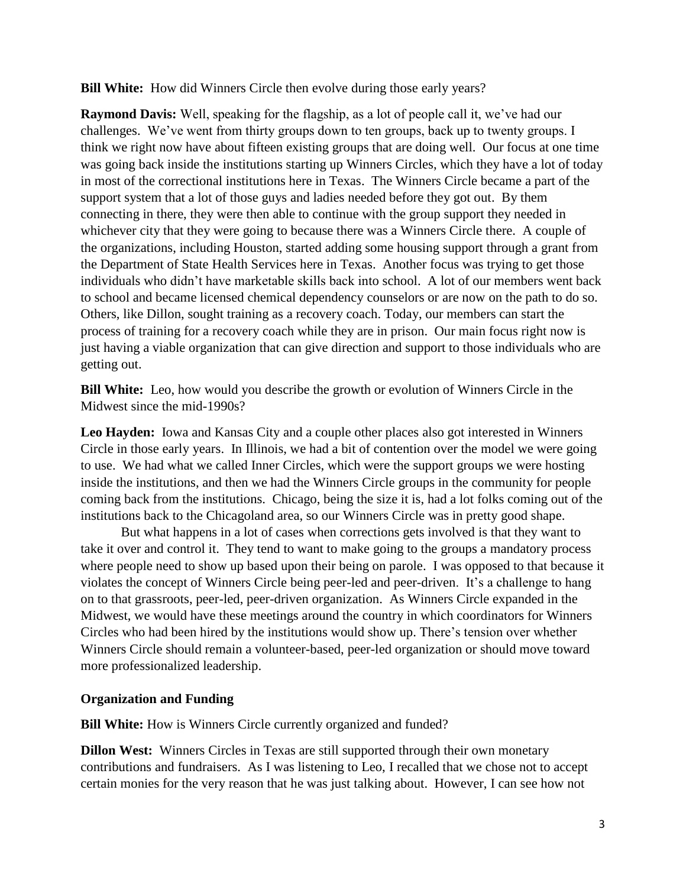**Bill White:** How did Winners Circle then evolve during those early years?

**Raymond Davis:** Well, speaking for the flagship, as a lot of people call it, we've had our challenges. We've went from thirty groups down to ten groups, back up to twenty groups. I think we right now have about fifteen existing groups that are doing well. Our focus at one time was going back inside the institutions starting up Winners Circles, which they have a lot of today in most of the correctional institutions here in Texas. The Winners Circle became a part of the support system that a lot of those guys and ladies needed before they got out. By them connecting in there, they were then able to continue with the group support they needed in whichever city that they were going to because there was a Winners Circle there. A couple of the organizations, including Houston, started adding some housing support through a grant from the Department of State Health Services here in Texas. Another focus was trying to get those individuals who didn't have marketable skills back into school. A lot of our members went back to school and became licensed chemical dependency counselors or are now on the path to do so. Others, like Dillon, sought training as a recovery coach. Today, our members can start the process of training for a recovery coach while they are in prison. Our main focus right now is just having a viable organization that can give direction and support to those individuals who are getting out.

**Bill White:** Leo, how would you describe the growth or evolution of Winners Circle in the Midwest since the mid-1990s?

**Leo Hayden:** Iowa and Kansas City and a couple other places also got interested in Winners Circle in those early years. In Illinois, we had a bit of contention over the model we were going to use. We had what we called Inner Circles, which were the support groups we were hosting inside the institutions, and then we had the Winners Circle groups in the community for people coming back from the institutions. Chicago, being the size it is, had a lot folks coming out of the institutions back to the Chicagoland area, so our Winners Circle was in pretty good shape.

But what happens in a lot of cases when corrections gets involved is that they want to take it over and control it. They tend to want to make going to the groups a mandatory process where people need to show up based upon their being on parole. I was opposed to that because it violates the concept of Winners Circle being peer-led and peer-driven. It's a challenge to hang on to that grassroots, peer-led, peer-driven organization. As Winners Circle expanded in the Midwest, we would have these meetings around the country in which coordinators for Winners Circles who had been hired by the institutions would show up. There's tension over whether Winners Circle should remain a volunteer-based, peer-led organization or should move toward more professionalized leadership.

# **Organization and Funding**

**Bill White:** How is Winners Circle currently organized and funded?

**Dillon West:** Winners Circles in Texas are still supported through their own monetary contributions and fundraisers. As I was listening to Leo, I recalled that we chose not to accept certain monies for the very reason that he was just talking about. However, I can see how not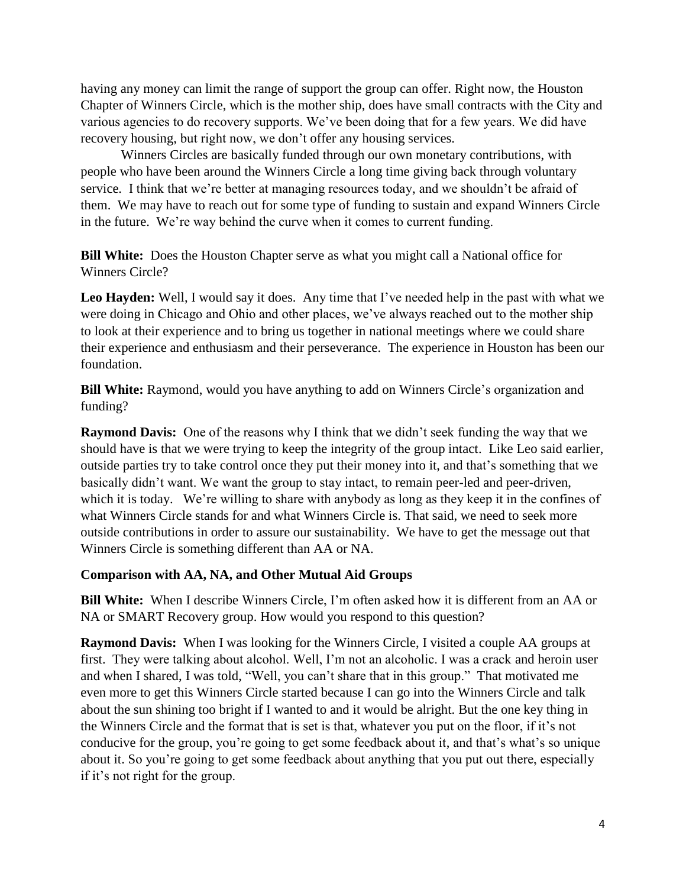having any money can limit the range of support the group can offer. Right now, the Houston Chapter of Winners Circle, which is the mother ship, does have small contracts with the City and various agencies to do recovery supports. We've been doing that for a few years. We did have recovery housing, but right now, we don't offer any housing services.

Winners Circles are basically funded through our own monetary contributions, with people who have been around the Winners Circle a long time giving back through voluntary service. I think that we're better at managing resources today, and we shouldn't be afraid of them. We may have to reach out for some type of funding to sustain and expand Winners Circle in the future. We're way behind the curve when it comes to current funding.

**Bill White:** Does the Houston Chapter serve as what you might call a National office for Winners Circle?

**Leo Hayden:** Well, I would say it does. Any time that I've needed help in the past with what we were doing in Chicago and Ohio and other places, we've always reached out to the mother ship to look at their experience and to bring us together in national meetings where we could share their experience and enthusiasm and their perseverance. The experience in Houston has been our foundation.

**Bill White:** Raymond, would you have anything to add on Winners Circle's organization and funding?

**Raymond Davis:** One of the reasons why I think that we didn't seek funding the way that we should have is that we were trying to keep the integrity of the group intact. Like Leo said earlier, outside parties try to take control once they put their money into it, and that's something that we basically didn't want. We want the group to stay intact, to remain peer-led and peer-driven, which it is today. We're willing to share with anybody as long as they keep it in the confines of what Winners Circle stands for and what Winners Circle is. That said, we need to seek more outside contributions in order to assure our sustainability. We have to get the message out that Winners Circle is something different than AA or NA.

# **Comparison with AA, NA, and Other Mutual Aid Groups**

**Bill White:** When I describe Winners Circle, I'm often asked how it is different from an AA or NA or SMART Recovery group. How would you respond to this question?

**Raymond Davis:** When I was looking for the Winners Circle, I visited a couple AA groups at first. They were talking about alcohol. Well, I'm not an alcoholic. I was a crack and heroin user and when I shared, I was told, "Well, you can't share that in this group." That motivated me even more to get this Winners Circle started because I can go into the Winners Circle and talk about the sun shining too bright if I wanted to and it would be alright. But the one key thing in the Winners Circle and the format that is set is that, whatever you put on the floor, if it's not conducive for the group, you're going to get some feedback about it, and that's what's so unique about it. So you're going to get some feedback about anything that you put out there, especially if it's not right for the group.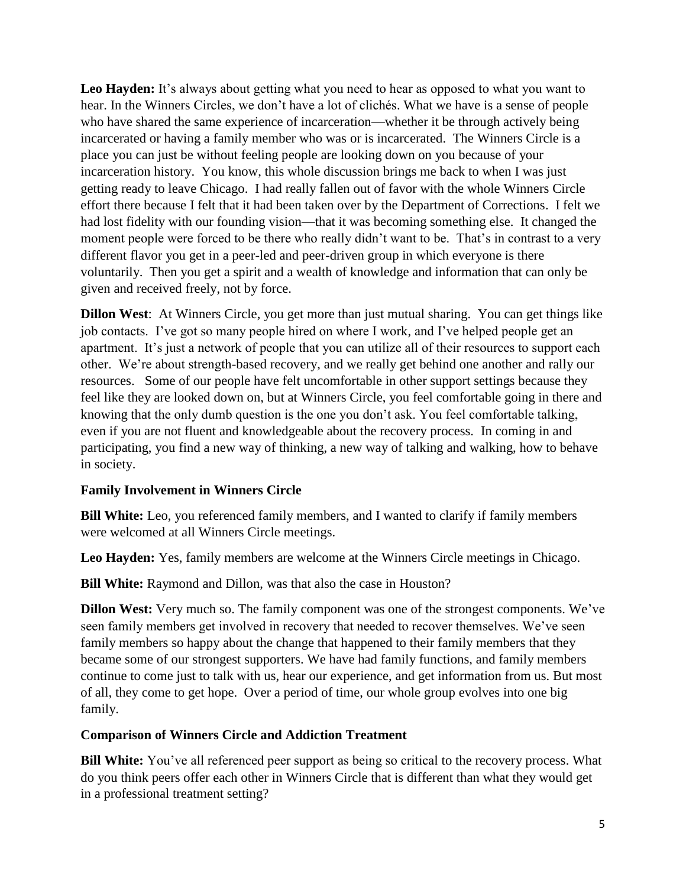**Leo Hayden:** It's always about getting what you need to hear as opposed to what you want to hear. In the Winners Circles, we don't have a lot of clichés. What we have is a sense of people who have shared the same experience of incarceration—whether it be through actively being incarcerated or having a family member who was or is incarcerated. The Winners Circle is a place you can just be without feeling people are looking down on you because of your incarceration history. You know, this whole discussion brings me back to when I was just getting ready to leave Chicago. I had really fallen out of favor with the whole Winners Circle effort there because I felt that it had been taken over by the Department of Corrections. I felt we had lost fidelity with our founding vision—that it was becoming something else. It changed the moment people were forced to be there who really didn't want to be. That's in contrast to a very different flavor you get in a peer-led and peer-driven group in which everyone is there voluntarily. Then you get a spirit and a wealth of knowledge and information that can only be given and received freely, not by force.

**Dillon West**: At Winners Circle, you get more than just mutual sharing. You can get things like job contacts. I've got so many people hired on where I work, and I've helped people get an apartment. It's just a network of people that you can utilize all of their resources to support each other. We're about strength-based recovery, and we really get behind one another and rally our resources. Some of our people have felt uncomfortable in other support settings because they feel like they are looked down on, but at Winners Circle, you feel comfortable going in there and knowing that the only dumb question is the one you don't ask. You feel comfortable talking, even if you are not fluent and knowledgeable about the recovery process. In coming in and participating, you find a new way of thinking, a new way of talking and walking, how to behave in society.

# **Family Involvement in Winners Circle**

**Bill White:** Leo, you referenced family members, and I wanted to clarify if family members were welcomed at all Winners Circle meetings.

**Leo Hayden:** Yes, family members are welcome at the Winners Circle meetings in Chicago.

**Bill White:** Raymond and Dillon, was that also the case in Houston?

**Dillon West:** Very much so. The family component was one of the strongest components. We've seen family members get involved in recovery that needed to recover themselves. We've seen family members so happy about the change that happened to their family members that they became some of our strongest supporters. We have had family functions, and family members continue to come just to talk with us, hear our experience, and get information from us. But most of all, they come to get hope. Over a period of time, our whole group evolves into one big family.

# **Comparison of Winners Circle and Addiction Treatment**

**Bill White:** You've all referenced peer support as being so critical to the recovery process. What do you think peers offer each other in Winners Circle that is different than what they would get in a professional treatment setting?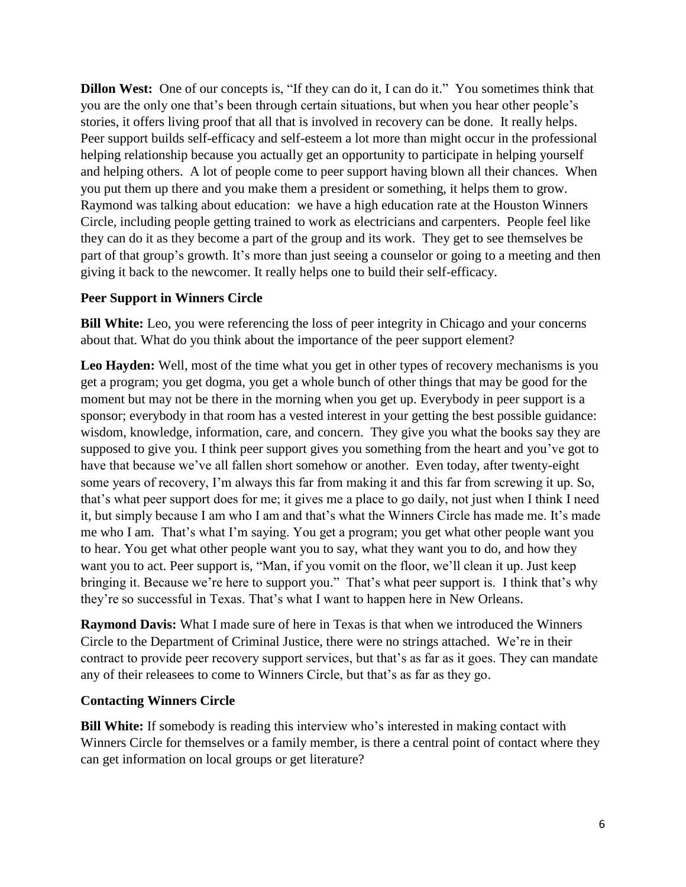**Dillon West:** One of our concepts is, "If they can do it, I can do it." You sometimes think that you are the only one that's been through certain situations, but when you hear other people's stories, it offers living proof that all that is involved in recovery can be done. It really helps. Peer support builds self-efficacy and self-esteem a lot more than might occur in the professional helping relationship because you actually get an opportunity to participate in helping yourself and helping others. A lot of people come to peer support having blown all their chances. When you put them up there and you make them a president or something, it helps them to grow. Raymond was talking about education: we have a high education rate at the Houston Winners Circle, including people getting trained to work as electricians and carpenters. People feel like they can do it as they become a part of the group and its work. They get to see themselves be part of that group's growth. It's more than just seeing a counselor or going to a meeting and then giving it back to the newcomer. It really helps one to build their self-efficacy.

### **Peer Support in Winners Circle**

**Bill White:** Leo, you were referencing the loss of peer integrity in Chicago and your concerns about that. What do you think about the importance of the peer support element?

**Leo Hayden:** Well, most of the time what you get in other types of recovery mechanisms is you get a program; you get dogma, you get a whole bunch of other things that may be good for the moment but may not be there in the morning when you get up. Everybody in peer support is a sponsor; everybody in that room has a vested interest in your getting the best possible guidance: wisdom, knowledge, information, care, and concern. They give you what the books say they are supposed to give you. I think peer support gives you something from the heart and you've got to have that because we've all fallen short somehow or another. Even today, after twenty-eight some years of recovery, I'm always this far from making it and this far from screwing it up. So, that's what peer support does for me; it gives me a place to go daily, not just when I think I need it, but simply because I am who I am and that's what the Winners Circle has made me. It's made me who I am. That's what I'm saying. You get a program; you get what other people want you to hear. You get what other people want you to say, what they want you to do, and how they want you to act. Peer support is, "Man, if you vomit on the floor, we'll clean it up. Just keep bringing it. Because we're here to support you." That's what peer support is. I think that's why they're so successful in Texas. That's what I want to happen here in New Orleans.

**Raymond Davis:** What I made sure of here in Texas is that when we introduced the Winners Circle to the Department of Criminal Justice, there were no strings attached. We're in their contract to provide peer recovery support services, but that's as far as it goes. They can mandate any of their releasees to come to Winners Circle, but that's as far as they go.

# **Contacting Winners Circle**

**Bill White:** If somebody is reading this interview who's interested in making contact with Winners Circle for themselves or a family member, is there a central point of contact where they can get information on local groups or get literature?